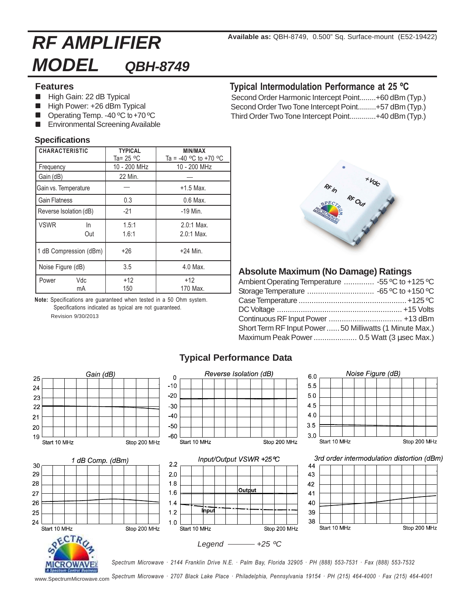# **RF AMPLIFIER MODEL QBH-8749**

#### **Features**

- High Gain: 22 dB Typical
- High Power: +26 dBm Typical
- Operating Temp. -40 °C to +70 °C
- nEnvironmental Screening Available

#### **Specifications**

| <b>CHARACTERISTIC</b>    | <b>TYPICAL</b><br>Ta= 25 °C | <b>MIN/MAX</b><br>Ta = -40 °C to +70 °C |
|--------------------------|-----------------------------|-----------------------------------------|
| Frequency                | 10 - 200 MHz                | 10 - 200 MHz                            |
| Gain (dB)                | 22 Min.                     |                                         |
| Gain vs. Temperature     |                             | $+1.5$ Max.                             |
| <b>Gain Flatness</b>     | 0.3                         | $0.6$ Max.                              |
| Reverse Isolation (dB)   | $-21$                       | $-19$ Min.                              |
| <b>VSWR</b><br>In<br>Out | 1.5:1<br>1.6:1              | $2.0:1$ Max.<br>$2.0:1$ Max.            |
| 1 dB Compression (dBm)   | +26                         | $+24$ Min.                              |
| Noise Figure (dB)        | 3.5                         | 4.0 Max.                                |
| Vdc<br>Power<br>mA       | $+12$<br>150                | +12<br>170 Max.                         |

**Note:** Specifications are guaranteed when tested in a 50 Ohm system. Specifications indicated as typical are not guaranteed.

Revision 9/30/2013

## **Typical Intermodulation Performance at 25 ºC**

Second Order Harmonic Intercept Point........+60 dBm (Typ.) Second Order Two Tone Intercept Point.........+57 dBm (Typ.) Third Order Two Tone Intercept Point.............+40 dBm (Typ.)



### **Absolute Maximum (No Damage) Ratings**

| Ambient Operating Temperature  -55 °C to +125 °C       |  |
|--------------------------------------------------------|--|
|                                                        |  |
|                                                        |  |
|                                                        |  |
|                                                        |  |
| Short Term RF Input Power50 Milliwatts (1 Minute Max.) |  |
| Maximum Peak Power 0.5 Watt (3 usec Max.)              |  |
|                                                        |  |



## **Typical Performance Data**

*Spectrum Microwave · 2707 Black Lake Place · Philadelphia, Pennsylvania 19154 · PH (215) 464-4000 · Fax (215) 464-4001* www.SpectrumMicrowave.com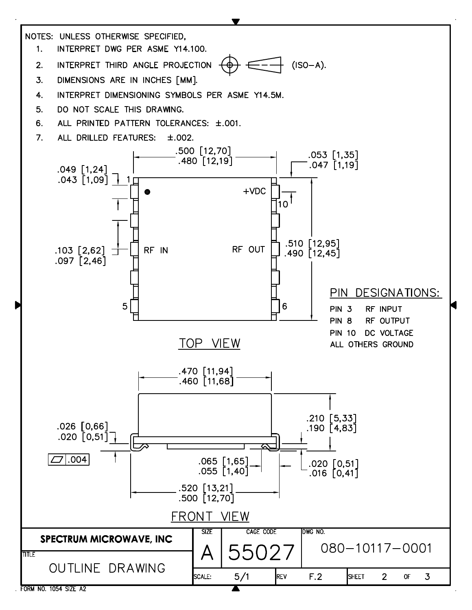